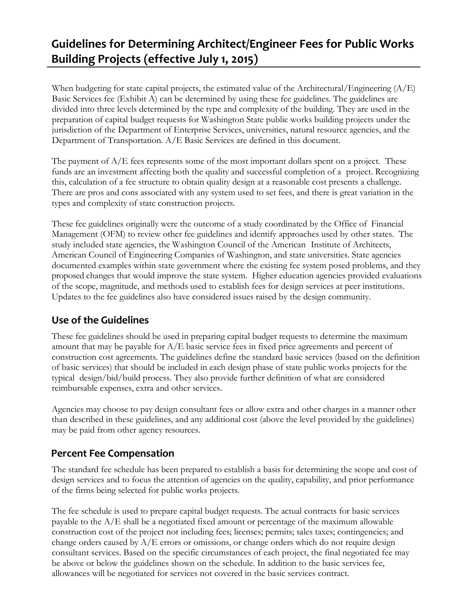# **Guidelines for Determining Architect/Engineer Fees for Public Works Building Projects (effective July 1, 2015)**

When budgeting for state capital projects, the estimated value of the Architectural/Engineering (A/E) Basic Services fee (Exhibit A) can be determined by using these fee guidelines. The guidelines are divided into three levels determined by the type and complexity of the building. They are used in the preparation of capital budget requests for Washington State public works building projects under the jurisdiction of the Department of Enterprise Services, universities, natural resource agencies, and the Department of Transportation. A/E Basic Services are defined in this document.

The payment of  $A/E$  fees represents some of the most important dollars spent on a project. These funds are an investment affecting both the quality and successful completion of a project. Recognizing this, calculation of a fee structure to obtain quality design at a reasonable cost presents a challenge. There are pros and cons associated with any system used to set fees, and there is great variation in the types and complexity of state construction projects.

These fee guidelines originally were the outcome of a study coordinated by the Office of Financial Management (OFM) to review other fee guidelines and identify approaches used by other states. The study included state agencies, the Washington Council of the American Institute of Architects, American Council of Engineering Companies of Washington, and state universities. State agencies documented examples within state government where the existing fee system posed problems, and they proposed changes that would improve the state system. Higher education agencies provided evaluations of the scope, magnitude, and methods used to establish fees for design services at peer institutions. Updates to the fee guidelines also have considered issues raised by the design community.

## **Use of the Guidelines**

These fee guidelines should be used in preparing capital budget requests to determine the maximum amount that may be payable for  $A/E$  basic service fees in fixed price agreements and percent of construction cost agreements. The guidelines define the standard basic services (based on the definition of basic services) that should be included in each design phase of state public works projects for the typical design/bid/build process. They also provide further definition of what are considered reimbursable expenses, extra and other services.

Agencies may choose to pay design consultant fees or allow extra and other charges in a manner other than described in these guidelines, and any additional cost (above the level provided by the guidelines) may be paid from other agency resources.

## **Percent Fee Compensation**

The standard fee schedule has been prepared to establish a basis for determining the scope and cost of design services and to focus the attention of agencies on the quality, capability, and prior performance of the firms being selected for public works projects.

The fee schedule is used to prepare capital budget requests. The actual contracts for basic services payable to the A/E shall be a negotiated fixed amount or percentage of the maximum allowable construction cost of the project not including fees; licenses; permits; sales taxes; contingencies; and change orders caused by  $A/E$  errors or omissions, or change orders which do not require design consultant services. Based on the specific circumstances of each project, the final negotiated fee may be above or below the guidelines shown on the schedule. In addition to the basic services fee, allowances will be negotiated for services not covered in the basic services contract.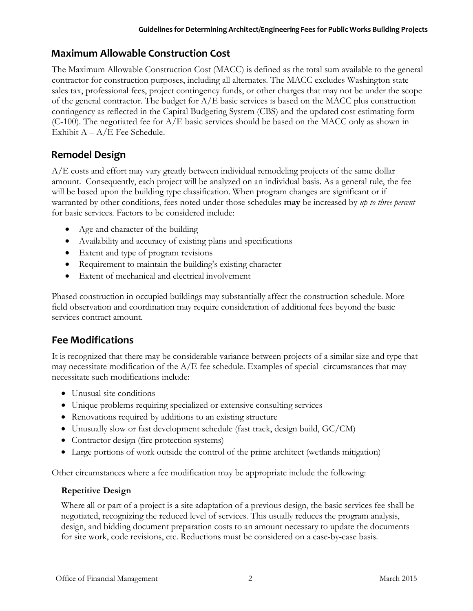## **Maximum Allowable Construction Cost**

The Maximum Allowable Construction Cost (MACC) is defined as the total sum available to the general contractor for construction purposes, including all alternates. The MACC excludes Washington state sales tax, professional fees, project contingency funds, or other charges that may not be under the scope of the general contractor. The budget for  $A/E$  basic services is based on the MACC plus construction contingency as reflected in the Capital Budgeting System (CBS) and the updated cost estimating form (C-100). The negotiated fee for A/E basic services should be based on the MACC only as shown in Exhibit  $A - A/E$  Fee Schedule.

# **Remodel Design**

A/E costs and effort may vary greatly between individual remodeling projects of the same dollar amount. Consequently, each project will be analyzed on an individual basis. As a general rule, the fee will be based upon the building type classification. When program changes are significant or if warranted by other conditions, fees noted under those schedules **may** be increased by *up to three percent* for basic services. Factors to be considered include:

- Age and character of the building
- Availability and accuracy of existing plans and specifications
- Extent and type of program revisions
- Requirement to maintain the building's existing character
- Extent of mechanical and electrical involvement

Phased construction in occupied buildings may substantially affect the construction schedule. More field observation and coordination may require consideration of additional fees beyond the basic services contract amount.

## **Fee Modifications**

It is recognized that there may be considerable variance between projects of a similar size and type that may necessitate modification of the  $A/E$  fee schedule. Examples of special circumstances that may necessitate such modifications include:

- Unusual site conditions
- Unique problems requiring specialized or extensive consulting services
- Renovations required by additions to an existing structure
- Unusually slow or fast development schedule (fast track, design build, GC/CM)
- Contractor design (fire protection systems)
- Large portions of work outside the control of the prime architect (wetlands mitigation)

Other circumstances where a fee modification may be appropriate include the following:

## **Repetitive Design**

Where all or part of a project is a site adaptation of a previous design, the basic services fee shall be negotiated, recognizing the reduced level of services. This usually reduces the program analysis, design, and bidding document preparation costs to an amount necessary to update the documents for site work, code revisions, etc. Reductions must be considered on a case-by-case basis.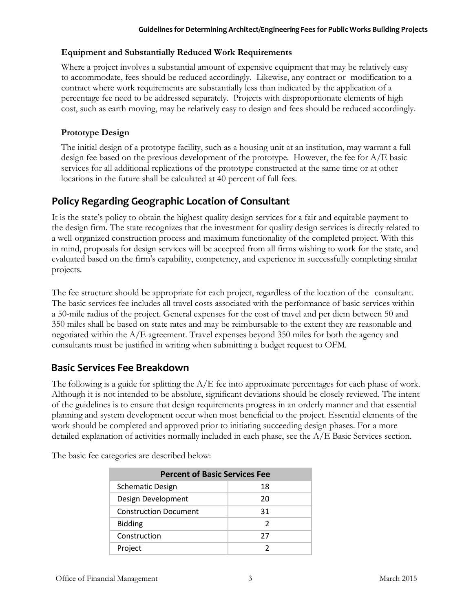## **Equipment and Substantially Reduced Work Requirements**

Where a project involves a substantial amount of expensive equipment that may be relatively easy to accommodate, fees should be reduced accordingly. Likewise, any contract or modification to a contract where work requirements are substantially less than indicated by the application of a percentage fee need to be addressed separately. Projects with disproportionate elements of high cost, such as earth moving, may be relatively easy to design and fees should be reduced accordingly.

## **Prototype Design**

The initial design of a prototype facility, such as a housing unit at an institution, may warrant a full design fee based on the previous development of the prototype. However, the fee for A/E basic services for all additional replications of the prototype constructed at the same time or at other locations in the future shall be calculated at 40 percent of full fees.

## **Policy Regarding Geographic Location of Consultant**

It is the state's policy to obtain the highest quality design services for a fair and equitable payment to the design firm. The state recognizes that the investment for quality design services is directly related to a well-organized construction process and maximum functionality of the completed project. With this in mind, proposals for design services will be accepted from all firms wishing to work for the state, and evaluated based on the firm's capability, competency, and experience in successfully completing similar projects.

The fee structure should be appropriate for each project, regardless of the location of the consultant. The basic services fee includes all travel costs associated with the performance of basic services within a 50-mile radius of the project. General expenses for the cost of travel and per diem between 50 and 350 miles shall be based on state rates and may be reimbursable to the extent they are reasonable and negotiated within the A/E agreement. Travel expenses beyond 350 miles for both the agency and consultants must be justified in writing when submitting a budget request to OFM.

## **Basic Services Fee Breakdown**

The following is a guide for splitting the A/E fee into approximate percentages for each phase of work. Although it is not intended to be absolute, significant deviations should be closely reviewed. The intent of the guidelines is to ensure that design requirements progress in an orderly manner and that essential planning and system development occur when most beneficial to the project. Essential elements of the work should be completed and approved prior to initiating succeeding design phases. For a more detailed explanation of activities normally included in each phase, see the  $A/E$  Basic Services section.

| <b>Percent of Basic Services Fee</b> |    |
|--------------------------------------|----|
| <b>Schematic Design</b>              | 18 |
| Design Development                   | 20 |
| <b>Construction Document</b>         | 31 |
| <b>Bidding</b>                       | 2  |
| Construction                         | 27 |
| Project                              |    |

The basic fee categories are described below: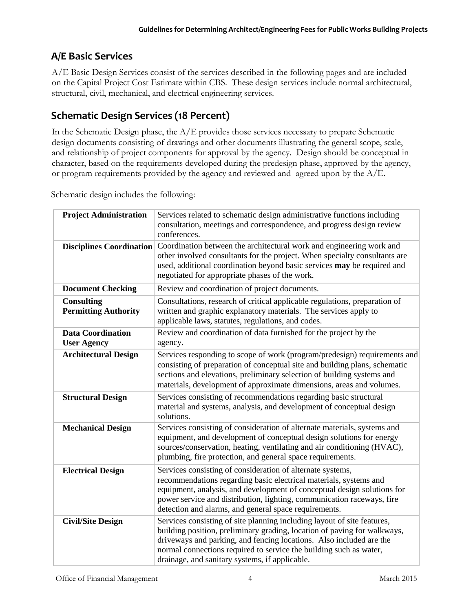# **A/E Basic Services**

A/E Basic Design Services consist of the services described in the following pages and are included on the Capital Project Cost Estimate within CBS. These design services include normal architectural, structural, civil, mechanical, and electrical engineering services.

# **Schematic Design Services (18 Percent)**

In the Schematic Design phase, the  $A/E$  provides those services necessary to prepare Schematic design documents consisting of drawings and other documents illustrating the general scope, scale, and relationship of project components for approval by the agency. Design should be conceptual in character, based on the requirements developed during the predesign phase, approved by the agency, or program requirements provided by the agency and reviewed and agreed upon by the  $A/E$ .

Schematic design includes the following:

| <b>Project Administration</b>                    | Services related to schematic design administrative functions including<br>consultation, meetings and correspondence, and progress design review<br>conferences.                                                                                                                                                                                   |
|--------------------------------------------------|----------------------------------------------------------------------------------------------------------------------------------------------------------------------------------------------------------------------------------------------------------------------------------------------------------------------------------------------------|
| <b>Disciplines Coordination</b>                  | Coordination between the architectural work and engineering work and<br>other involved consultants for the project. When specialty consultants are<br>used, additional coordination beyond basic services may be required and<br>negotiated for appropriate phases of the work.                                                                    |
| <b>Document Checking</b>                         | Review and coordination of project documents.                                                                                                                                                                                                                                                                                                      |
| <b>Consulting</b><br><b>Permitting Authority</b> | Consultations, research of critical applicable regulations, preparation of<br>written and graphic explanatory materials. The services apply to<br>applicable laws, statutes, regulations, and codes.                                                                                                                                               |
| <b>Data Coordination</b><br><b>User Agency</b>   | Review and coordination of data furnished for the project by the<br>agency.                                                                                                                                                                                                                                                                        |
| <b>Architectural Design</b>                      | Services responding to scope of work (program/predesign) requirements and<br>consisting of preparation of conceptual site and building plans, schematic<br>sections and elevations, preliminary selection of building systems and<br>materials, development of approximate dimensions, areas and volumes.                                          |
| <b>Structural Design</b>                         | Services consisting of recommendations regarding basic structural<br>material and systems, analysis, and development of conceptual design<br>solutions.                                                                                                                                                                                            |
| <b>Mechanical Design</b>                         | Services consisting of consideration of alternate materials, systems and<br>equipment, and development of conceptual design solutions for energy<br>sources/conservation, heating, ventilating and air conditioning (HVAC),<br>plumbing, fire protection, and general space requirements.                                                          |
| <b>Electrical Design</b>                         | Services consisting of consideration of alternate systems,<br>recommendations regarding basic electrical materials, systems and<br>equipment, analysis, and development of conceptual design solutions for<br>power service and distribution, lighting, communication raceways, fire<br>detection and alarms, and general space requirements.      |
| <b>Civil/Site Design</b>                         | Services consisting of site planning including layout of site features,<br>building position, preliminary grading, location of paving for walkways,<br>driveways and parking, and fencing locations. Also included are the<br>normal connections required to service the building such as water,<br>drainage, and sanitary systems, if applicable. |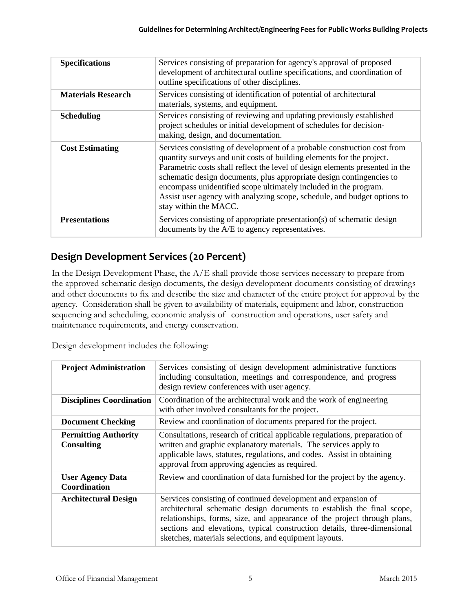| <b>Specifications</b>     | Services consisting of preparation for agency's approval of proposed<br>development of architectural outline specifications, and coordination of<br>outline specifications of other disciplines.                                                                                                                                                                                                                                                                                  |
|---------------------------|-----------------------------------------------------------------------------------------------------------------------------------------------------------------------------------------------------------------------------------------------------------------------------------------------------------------------------------------------------------------------------------------------------------------------------------------------------------------------------------|
| <b>Materials Research</b> | Services consisting of identification of potential of architectural<br>materials, systems, and equipment.                                                                                                                                                                                                                                                                                                                                                                         |
| <b>Scheduling</b>         | Services consisting of reviewing and updating previously established<br>project schedules or initial development of schedules for decision-<br>making, design, and documentation.                                                                                                                                                                                                                                                                                                 |
| <b>Cost Estimating</b>    | Services consisting of development of a probable construction cost from<br>quantity surveys and unit costs of building elements for the project.<br>Parametric costs shall reflect the level of design elements presented in the<br>schematic design documents, plus appropriate design contingencies to<br>encompass unidentified scope ultimately included in the program.<br>Assist user agency with analyzing scope, schedule, and budget options to<br>stay within the MACC. |
| <b>Presentations</b>      | Services consisting of appropriate presentation(s) of schematic design<br>documents by the A/E to agency representatives.                                                                                                                                                                                                                                                                                                                                                         |

# **Design Development Services (20 Percent)**

In the Design Development Phase, the A/E shall provide those services necessary to prepare from the approved schematic design documents, the design development documents consisting of drawings and other documents to fix and describe the size and character of the entire project for approval by the agency. Consideration shall be given to availability of materials, equipment and labor, construction sequencing and scheduling, economic analysis of construction and operations, user safety and maintenance requirements, and energy conservation.

Design development includes the following:

| <b>Project Administration</b>                    | Services consisting of design development administrative functions<br>including consultation, meetings and correspondence, and progress<br>design review conferences with user agency.                                                                                                                                                                    |
|--------------------------------------------------|-----------------------------------------------------------------------------------------------------------------------------------------------------------------------------------------------------------------------------------------------------------------------------------------------------------------------------------------------------------|
| <b>Disciplines Coordination</b>                  | Coordination of the architectural work and the work of engineering<br>with other involved consultants for the project.                                                                                                                                                                                                                                    |
| <b>Document Checking</b>                         | Review and coordination of documents prepared for the project.                                                                                                                                                                                                                                                                                            |
| <b>Permitting Authority</b><br><b>Consulting</b> | Consultations, research of critical applicable regulations, preparation of<br>written and graphic explanatory materials. The services apply to<br>applicable laws, statutes, regulations, and codes. Assist in obtaining<br>approval from approving agencies as required.                                                                                 |
| <b>User Agency Data</b><br>Coordination          | Review and coordination of data furnished for the project by the agency.                                                                                                                                                                                                                                                                                  |
| <b>Architectural Design</b>                      | Services consisting of continued development and expansion of<br>architectural schematic design documents to establish the final scope,<br>relationships, forms, size, and appearance of the project through plans,<br>sections and elevations, typical construction details, three-dimensional<br>sketches, materials selections, and equipment layouts. |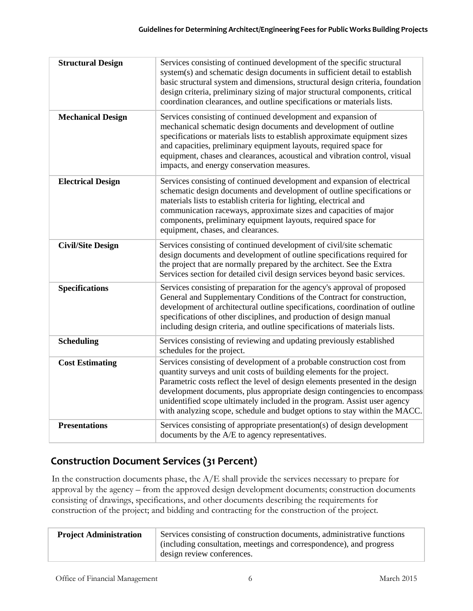| <b>Structural Design</b> | Services consisting of continued development of the specific structural<br>system(s) and schematic design documents in sufficient detail to establish<br>basic structural system and dimensions, structural design criteria, foundation<br>design criteria, preliminary sizing of major structural components, critical<br>coordination clearances, and outline specifications or materials lists.                                                                        |
|--------------------------|---------------------------------------------------------------------------------------------------------------------------------------------------------------------------------------------------------------------------------------------------------------------------------------------------------------------------------------------------------------------------------------------------------------------------------------------------------------------------|
| <b>Mechanical Design</b> | Services consisting of continued development and expansion of<br>mechanical schematic design documents and development of outline<br>specifications or materials lists to establish approximate equipment sizes<br>and capacities, preliminary equipment layouts, required space for<br>equipment, chases and clearances, acoustical and vibration control, visual<br>impacts, and energy conservation measures.                                                          |
| <b>Electrical Design</b> | Services consisting of continued development and expansion of electrical<br>schematic design documents and development of outline specifications or<br>materials lists to establish criteria for lighting, electrical and<br>communication raceways, approximate sizes and capacities of major<br>components, preliminary equipment layouts, required space for<br>equipment, chases, and clearances.                                                                     |
| <b>Civil/Site Design</b> | Services consisting of continued development of civil/site schematic<br>design documents and development of outline specifications required for<br>the project that are normally prepared by the architect. See the Extra<br>Services section for detailed civil design services beyond basic services.                                                                                                                                                                   |
| <b>Specifications</b>    | Services consisting of preparation for the agency's approval of proposed<br>General and Supplementary Conditions of the Contract for construction,<br>development of architectural outline specifications, coordination of outline<br>specifications of other disciplines, and production of design manual<br>including design criteria, and outline specifications of materials lists.                                                                                   |
| <b>Scheduling</b>        | Services consisting of reviewing and updating previously established<br>schedules for the project.                                                                                                                                                                                                                                                                                                                                                                        |
| <b>Cost Estimating</b>   | Services consisting of development of a probable construction cost from<br>quantity surveys and unit costs of building elements for the project.<br>Parametric costs reflect the level of design elements presented in the design<br>development documents, plus appropriate design contingencies to encompass<br>unidentified scope ultimately included in the program. Assist user agency<br>with analyzing scope, schedule and budget options to stay within the MACC. |
| <b>Presentations</b>     | Services consisting of appropriate presentation(s) of design development<br>documents by the A/E to agency representatives.                                                                                                                                                                                                                                                                                                                                               |

# **Construction Document Services (31 Percent)**

In the construction documents phase, the A/E shall provide the services necessary to prepare for approval by the agency – from the approved design development documents; construction documents consisting of drawings, specifications, and other documents describing the requirements for construction of the project; and bidding and contracting for the construction of the project.

| <b>Project Administration</b> | Services consisting of construction documents, administrative functions |
|-------------------------------|-------------------------------------------------------------------------|
|                               | (including consultation, meetings and correspondence), and progress     |
|                               | design review conferences.                                              |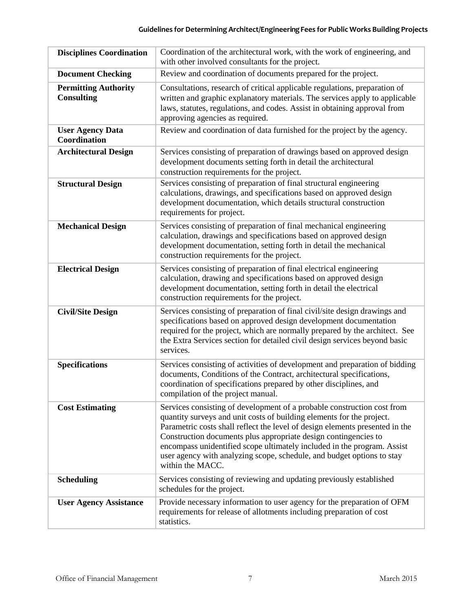| <b>Disciplines Coordination</b>                  | Coordination of the architectural work, with the work of engineering, and<br>with other involved consultants for the project.                                                                                                                                                                                                                                                                                                                                                |
|--------------------------------------------------|------------------------------------------------------------------------------------------------------------------------------------------------------------------------------------------------------------------------------------------------------------------------------------------------------------------------------------------------------------------------------------------------------------------------------------------------------------------------------|
| <b>Document Checking</b>                         | Review and coordination of documents prepared for the project.                                                                                                                                                                                                                                                                                                                                                                                                               |
| <b>Permitting Authority</b><br><b>Consulting</b> | Consultations, research of critical applicable regulations, preparation of<br>written and graphic explanatory materials. The services apply to applicable<br>laws, statutes, regulations, and codes. Assist in obtaining approval from<br>approving agencies as required.                                                                                                                                                                                                    |
| <b>User Agency Data</b><br>Coordination          | Review and coordination of data furnished for the project by the agency.                                                                                                                                                                                                                                                                                                                                                                                                     |
| <b>Architectural Design</b>                      | Services consisting of preparation of drawings based on approved design<br>development documents setting forth in detail the architectural<br>construction requirements for the project.                                                                                                                                                                                                                                                                                     |
| <b>Structural Design</b>                         | Services consisting of preparation of final structural engineering<br>calculations, drawings, and specifications based on approved design<br>development documentation, which details structural construction<br>requirements for project.                                                                                                                                                                                                                                   |
| <b>Mechanical Design</b>                         | Services consisting of preparation of final mechanical engineering<br>calculation, drawings and specifications based on approved design<br>development documentation, setting forth in detail the mechanical<br>construction requirements for the project.                                                                                                                                                                                                                   |
| <b>Electrical Design</b>                         | Services consisting of preparation of final electrical engineering<br>calculation, drawing and specifications based on approved design<br>development documentation, setting forth in detail the electrical<br>construction requirements for the project.                                                                                                                                                                                                                    |
| <b>Civil/Site Design</b>                         | Services consisting of preparation of final civil/site design drawings and<br>specifications based on approved design development documentation<br>required for the project, which are normally prepared by the architect. See<br>the Extra Services section for detailed civil design services beyond basic<br>services.                                                                                                                                                    |
| <b>Specifications</b>                            | Services consisting of activities of development and preparation of bidding<br>documents, Conditions of the Contract, architectural specifications,<br>coordination of specifications prepared by other disciplines, and<br>compilation of the project manual.                                                                                                                                                                                                               |
| <b>Cost Estimating</b>                           | Services consisting of development of a probable construction cost from<br>quantity surveys and unit costs of building elements for the project.<br>Parametric costs shall reflect the level of design elements presented in the<br>Construction documents plus appropriate design contingencies to<br>encompass unidentified scope ultimately included in the program. Assist<br>user agency with analyzing scope, schedule, and budget options to stay<br>within the MACC. |
| <b>Scheduling</b>                                | Services consisting of reviewing and updating previously established<br>schedules for the project.                                                                                                                                                                                                                                                                                                                                                                           |
| <b>User Agency Assistance</b>                    | Provide necessary information to user agency for the preparation of OFM<br>requirements for release of allotments including preparation of cost<br>statistics.                                                                                                                                                                                                                                                                                                               |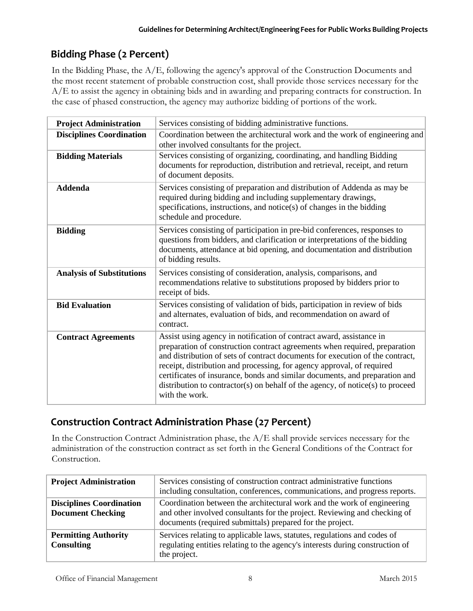# **Bidding Phase (2 Percent)**

In the Bidding Phase, the A/E, following the agency's approval of the Construction Documents and the most recent statement of probable construction cost, shall provide those services necessary for the A/E to assist the agency in obtaining bids and in awarding and preparing contracts for construction. In the case of phased construction, the agency may authorize bidding of portions of the work.

| <b>Project Administration</b>    | Services consisting of bidding administrative functions.                                                                                                                                                                                                                                                                                                                                                                                                                                         |
|----------------------------------|--------------------------------------------------------------------------------------------------------------------------------------------------------------------------------------------------------------------------------------------------------------------------------------------------------------------------------------------------------------------------------------------------------------------------------------------------------------------------------------------------|
| <b>Disciplines Coordination</b>  | Coordination between the architectural work and the work of engineering and<br>other involved consultants for the project.                                                                                                                                                                                                                                                                                                                                                                       |
| <b>Bidding Materials</b>         | Services consisting of organizing, coordinating, and handling Bidding<br>documents for reproduction, distribution and retrieval, receipt, and return<br>of document deposits.                                                                                                                                                                                                                                                                                                                    |
| <b>Addenda</b>                   | Services consisting of preparation and distribution of Addenda as may be<br>required during bidding and including supplementary drawings,<br>specifications, instructions, and notice(s) of changes in the bidding<br>schedule and procedure.                                                                                                                                                                                                                                                    |
| <b>Bidding</b>                   | Services consisting of participation in pre-bid conferences, responses to<br>questions from bidders, and clarification or interpretations of the bidding<br>documents, attendance at bid opening, and documentation and distribution<br>of bidding results.                                                                                                                                                                                                                                      |
| <b>Analysis of Substitutions</b> | Services consisting of consideration, analysis, comparisons, and<br>recommendations relative to substitutions proposed by bidders prior to<br>receipt of bids.                                                                                                                                                                                                                                                                                                                                   |
| <b>Bid Evaluation</b>            | Services consisting of validation of bids, participation in review of bids<br>and alternates, evaluation of bids, and recommendation on award of<br>contract.                                                                                                                                                                                                                                                                                                                                    |
| <b>Contract Agreements</b>       | Assist using agency in notification of contract award, assistance in<br>preparation of construction contract agreements when required, preparation<br>and distribution of sets of contract documents for execution of the contract,<br>receipt, distribution and processing, for agency approval, of required<br>certificates of insurance, bonds and similar documents, and preparation and<br>distribution to contractor(s) on behalf of the agency, of notice(s) to proceed<br>with the work. |

# **Construction Contract Administration Phase (27 Percent)**

In the Construction Contract Administration phase, the A/E shall provide services necessary for the administration of the construction contract as set forth in the General Conditions of the Contract for Construction.

| <b>Project Administration</b>                               | Services consisting of construction contract administrative functions<br>including consultation, conferences, communications, and progress reports.                                                               |
|-------------------------------------------------------------|-------------------------------------------------------------------------------------------------------------------------------------------------------------------------------------------------------------------|
| <b>Disciplines Coordination</b><br><b>Document Checking</b> | Coordination between the architectural work and the work of engineering<br>and other involved consultants for the project. Reviewing and checking of<br>documents (required submittals) prepared for the project. |
| <b>Permitting Authority</b><br><b>Consulting</b>            | Services relating to applicable laws, statutes, regulations and codes of<br>regulating entities relating to the agency's interests during construction of<br>the project.                                         |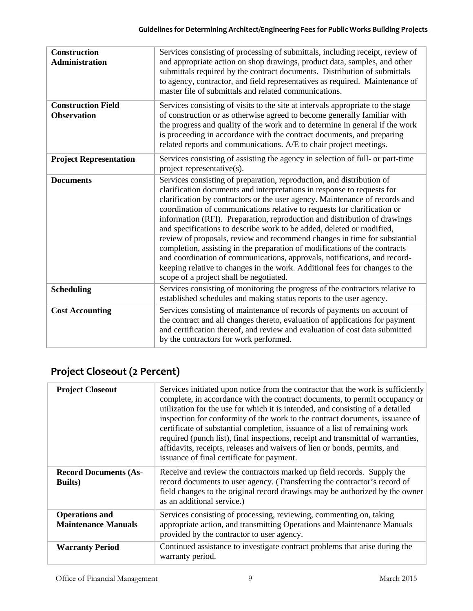| <b>Construction</b><br><b>Administration</b>    | Services consisting of processing of submittals, including receipt, review of<br>and appropriate action on shop drawings, product data, samples, and other<br>submittals required by the contract documents. Distribution of submittals<br>to agency, contractor, and field representatives as required. Maintenance of<br>master file of submittals and related communications.                                                                                                                                                                                                                                                                                                                                                                                                                                                    |
|-------------------------------------------------|-------------------------------------------------------------------------------------------------------------------------------------------------------------------------------------------------------------------------------------------------------------------------------------------------------------------------------------------------------------------------------------------------------------------------------------------------------------------------------------------------------------------------------------------------------------------------------------------------------------------------------------------------------------------------------------------------------------------------------------------------------------------------------------------------------------------------------------|
| <b>Construction Field</b><br><b>Observation</b> | Services consisting of visits to the site at intervals appropriate to the stage<br>of construction or as otherwise agreed to become generally familiar with<br>the progress and quality of the work and to determine in general if the work<br>is proceeding in accordance with the contract documents, and preparing<br>related reports and communications. A/E to chair project meetings.                                                                                                                                                                                                                                                                                                                                                                                                                                         |
| <b>Project Representation</b>                   | Services consisting of assisting the agency in selection of full- or part-time<br>project representative( $s$ ).                                                                                                                                                                                                                                                                                                                                                                                                                                                                                                                                                                                                                                                                                                                    |
| <b>Documents</b>                                | Services consisting of preparation, reproduction, and distribution of<br>clarification documents and interpretations in response to requests for<br>clarification by contractors or the user agency. Maintenance of records and<br>coordination of communications relative to requests for clarification or<br>information (RFI). Preparation, reproduction and distribution of drawings<br>and specifications to describe work to be added, deleted or modified,<br>review of proposals, review and recommend changes in time for substantial<br>completion, assisting in the preparation of modifications of the contracts<br>and coordination of communications, approvals, notifications, and record-<br>keeping relative to changes in the work. Additional fees for changes to the<br>scope of a project shall be negotiated. |
| <b>Scheduling</b>                               | Services consisting of monitoring the progress of the contractors relative to<br>established schedules and making status reports to the user agency.                                                                                                                                                                                                                                                                                                                                                                                                                                                                                                                                                                                                                                                                                |
| <b>Cost Accounting</b>                          | Services consisting of maintenance of records of payments on account of<br>the contract and all changes thereto, evaluation of applications for payment<br>and certification thereof, and review and evaluation of cost data submitted<br>by the contractors for work performed.                                                                                                                                                                                                                                                                                                                                                                                                                                                                                                                                                    |

# **Project Closeout (2 Percent)**

| <b>Project Closeout</b>                             | Services initiated upon notice from the contractor that the work is sufficiently<br>complete, in accordance with the contract documents, to permit occupancy or<br>utilization for the use for which it is intended, and consisting of a detailed<br>inspection for conformity of the work to the contract documents, issuance of<br>certificate of substantial completion, issuance of a list of remaining work<br>required (punch list), final inspections, receipt and transmittal of warranties,<br>affidavits, receipts, releases and waivers of lien or bonds, permits, and<br>issuance of final certificate for payment. |
|-----------------------------------------------------|---------------------------------------------------------------------------------------------------------------------------------------------------------------------------------------------------------------------------------------------------------------------------------------------------------------------------------------------------------------------------------------------------------------------------------------------------------------------------------------------------------------------------------------------------------------------------------------------------------------------------------|
| <b>Record Documents (As-</b><br><b>Builts</b> )     | Receive and review the contractors marked up field records. Supply the<br>record documents to user agency. (Transferring the contractor's record of<br>field changes to the original record drawings may be authorized by the owner<br>as an additional service.)                                                                                                                                                                                                                                                                                                                                                               |
| <b>Operations and</b><br><b>Maintenance Manuals</b> | Services consisting of processing, reviewing, commenting on, taking<br>appropriate action, and transmitting Operations and Maintenance Manuals<br>provided by the contractor to user agency.                                                                                                                                                                                                                                                                                                                                                                                                                                    |
| <b>Warranty Period</b>                              | Continued assistance to investigate contract problems that arise during the<br>warranty period.                                                                                                                                                                                                                                                                                                                                                                                                                                                                                                                                 |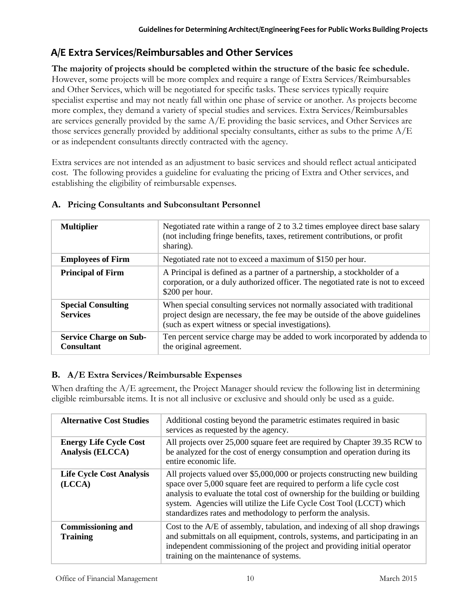# **A/E Extra Services/Reimbursables and Other Services**

### **The majority of projects should be completed within the structure of the basic fee schedule.**  However, some projects will be more complex and require a range of Extra Services/Reimbursables and Other Services, which will be negotiated for specific tasks. These services typically require specialist expertise and may not neatly fall within one phase of service or another. As projects become more complex, they demand a variety of special studies and services. Extra Services/Reimbursables are services generally provided by the same  $A/E$  providing the basic services, and Other Services are those services generally provided by additional specialty consultants, either as subs to the prime  $A/E$ or as independent consultants directly contracted with the agency.

Extra services are not intended as an adjustment to basic services and should reflect actual anticipated cost. The following provides a guideline for evaluating the pricing of Extra and Other services, and establishing the eligibility of reimbursable expenses.

| <b>Multiplier</b>                                  | Negotiated rate within a range of 2 to 3.2 times employee direct base salary<br>(not including fringe benefits, taxes, retirement contributions, or profit<br>sharing).                                          |
|----------------------------------------------------|------------------------------------------------------------------------------------------------------------------------------------------------------------------------------------------------------------------|
| <b>Employees of Firm</b>                           | Negotiated rate not to exceed a maximum of \$150 per hour.                                                                                                                                                       |
| <b>Principal of Firm</b>                           | A Principal is defined as a partner of a partnership, a stockholder of a<br>corporation, or a duly authorized officer. The negotiated rate is not to exceed<br>\$200 per hour.                                   |
| <b>Special Consulting</b><br><b>Services</b>       | When special consulting services not normally associated with traditional<br>project design are necessary, the fee may be outside of the above guidelines<br>(such as expert witness or special investigations). |
| <b>Service Charge on Sub-</b><br><b>Consultant</b> | Ten percent service charge may be added to work incorporated by addenda to<br>the original agreement.                                                                                                            |

## **A. Pricing Consultants and Subconsultant Personnel**

## **B. A/E Extra Services/Reimbursable Expenses**

When drafting the A/E agreement, the Project Manager should review the following list in determining eligible reimbursable items. It is not all inclusive or exclusive and should only be used as a guide.

| <b>Alternative Cost Studies</b>                   | Additional costing beyond the parametric estimates required in basic<br>services as requested by the agency.                                                                                                                                                                                                                                                                |
|---------------------------------------------------|-----------------------------------------------------------------------------------------------------------------------------------------------------------------------------------------------------------------------------------------------------------------------------------------------------------------------------------------------------------------------------|
| <b>Energy Life Cycle Cost</b><br>Analysis (ELCCA) | All projects over 25,000 square feet are required by Chapter 39.35 RCW to<br>be analyzed for the cost of energy consumption and operation during its<br>entire economic life.                                                                                                                                                                                               |
| <b>Life Cycle Cost Analysis</b><br>(LCCA)         | All projects valued over \$5,000,000 or projects constructing new building<br>space over 5,000 square feet are required to perform a life cycle cost<br>analysis to evaluate the total cost of ownership for the building or building<br>system. Agencies will utilize the Life Cycle Cost Tool (LCCT) which<br>standardizes rates and methodology to perform the analysis. |
| <b>Commissioning and</b><br><b>Training</b>       | Cost to the A/E of assembly, tabulation, and indexing of all shop drawings<br>and submittals on all equipment, controls, systems, and participating in an<br>independent commissioning of the project and providing initial operator<br>training on the maintenance of systems.                                                                                             |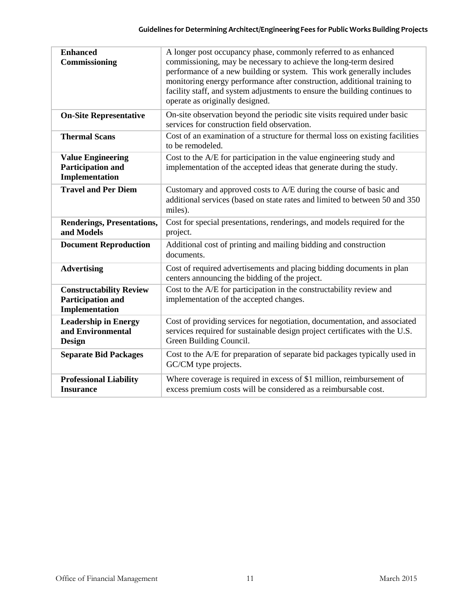| <b>Enhanced</b><br>Commissioning                                              | A longer post occupancy phase, commonly referred to as enhanced<br>commissioning, may be necessary to achieve the long-term desired<br>performance of a new building or system. This work generally includes<br>monitoring energy performance after construction, additional training to<br>facility staff, and system adjustments to ensure the building continues to<br>operate as originally designed. |
|-------------------------------------------------------------------------------|-----------------------------------------------------------------------------------------------------------------------------------------------------------------------------------------------------------------------------------------------------------------------------------------------------------------------------------------------------------------------------------------------------------|
| <b>On-Site Representative</b>                                                 | On-site observation beyond the periodic site visits required under basic<br>services for construction field observation.                                                                                                                                                                                                                                                                                  |
| <b>Thermal Scans</b>                                                          | Cost of an examination of a structure for thermal loss on existing facilities<br>to be remodeled.                                                                                                                                                                                                                                                                                                         |
| <b>Value Engineering</b><br><b>Participation and</b><br><b>Implementation</b> | Cost to the A/E for participation in the value engineering study and<br>implementation of the accepted ideas that generate during the study.                                                                                                                                                                                                                                                              |
| <b>Travel and Per Diem</b>                                                    | Customary and approved costs to A/E during the course of basic and<br>additional services (based on state rates and limited to between 50 and 350<br>miles).                                                                                                                                                                                                                                              |
| <b>Renderings, Presentations,</b><br>and Models                               | Cost for special presentations, renderings, and models required for the<br>project.                                                                                                                                                                                                                                                                                                                       |
| <b>Document Reproduction</b>                                                  | Additional cost of printing and mailing bidding and construction<br>documents.                                                                                                                                                                                                                                                                                                                            |
| <b>Advertising</b>                                                            | Cost of required advertisements and placing bidding documents in plan<br>centers announcing the bidding of the project.                                                                                                                                                                                                                                                                                   |
| <b>Constructability Review</b><br>Participation and<br><b>Implementation</b>  | Cost to the A/E for participation in the constructability review and<br>implementation of the accepted changes.                                                                                                                                                                                                                                                                                           |
| <b>Leadership in Energy</b><br>and Environmental<br><b>Design</b>             | Cost of providing services for negotiation, documentation, and associated<br>services required for sustainable design project certificates with the U.S.<br>Green Building Council.                                                                                                                                                                                                                       |
| <b>Separate Bid Packages</b>                                                  | Cost to the A/E for preparation of separate bid packages typically used in<br>GC/CM type projects.                                                                                                                                                                                                                                                                                                        |
| <b>Professional Liability</b><br><b>Insurance</b>                             | Where coverage is required in excess of \$1 million, reimbursement of<br>excess premium costs will be considered as a reimbursable cost.                                                                                                                                                                                                                                                                  |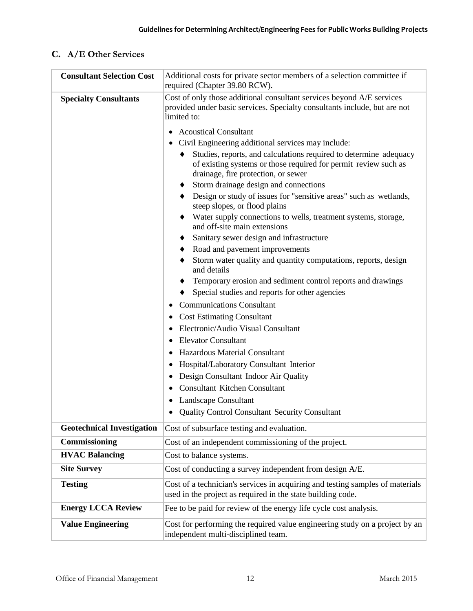## **C. A/E Other Services**

| <b>Consultant Selection Cost</b>  | Additional costs for private sector members of a selection committee if<br>required (Chapter 39.80 RCW).                                                                                                                          |
|-----------------------------------|-----------------------------------------------------------------------------------------------------------------------------------------------------------------------------------------------------------------------------------|
| <b>Specialty Consultants</b>      | Cost of only those additional consultant services beyond A/E services<br>provided under basic services. Specialty consultants include, but are not<br>limited to:                                                                 |
|                                   | <b>Acoustical Consultant</b>                                                                                                                                                                                                      |
|                                   | Civil Engineering additional services may include:<br>Studies, reports, and calculations required to determine adequacy<br>of existing systems or those required for permit review such as<br>drainage, fire protection, or sewer |
|                                   | Storm drainage design and connections                                                                                                                                                                                             |
|                                   | Design or study of issues for "sensitive areas" such as wetlands,<br>steep slopes, or flood plains                                                                                                                                |
|                                   | Water supply connections to wells, treatment systems, storage,<br>and off-site main extensions                                                                                                                                    |
|                                   | Sanitary sewer design and infrastructure<br>٠                                                                                                                                                                                     |
|                                   | Road and pavement improvements                                                                                                                                                                                                    |
|                                   | Storm water quality and quantity computations, reports, design<br>and details                                                                                                                                                     |
|                                   | Temporary erosion and sediment control reports and drawings                                                                                                                                                                       |
|                                   | Special studies and reports for other agencies                                                                                                                                                                                    |
|                                   | <b>Communications Consultant</b>                                                                                                                                                                                                  |
|                                   | <b>Cost Estimating Consultant</b>                                                                                                                                                                                                 |
|                                   | Electronic/Audio Visual Consultant                                                                                                                                                                                                |
|                                   | <b>Elevator Consultant</b>                                                                                                                                                                                                        |
|                                   | Hazardous Material Consultant                                                                                                                                                                                                     |
|                                   | Hospital/Laboratory Consultant Interior                                                                                                                                                                                           |
|                                   | Design Consultant Indoor Air Quality                                                                                                                                                                                              |
|                                   | <b>Consultant Kitchen Consultant</b>                                                                                                                                                                                              |
|                                   | Landscape Consultant<br><b>Quality Control Consultant Security Consultant</b>                                                                                                                                                     |
|                                   |                                                                                                                                                                                                                                   |
| <b>Geotechnical Investigation</b> | Cost of subsurface testing and evaluation.                                                                                                                                                                                        |
| Commissioning                     | Cost of an independent commissioning of the project.                                                                                                                                                                              |
| <b>HVAC Balancing</b>             | Cost to balance systems.                                                                                                                                                                                                          |
| <b>Site Survey</b>                | Cost of conducting a survey independent from design A/E.                                                                                                                                                                          |
| <b>Testing</b>                    | Cost of a technician's services in acquiring and testing samples of materials<br>used in the project as required in the state building code.                                                                                      |
| <b>Energy LCCA Review</b>         | Fee to be paid for review of the energy life cycle cost analysis.                                                                                                                                                                 |
| <b>Value Engineering</b>          | Cost for performing the required value engineering study on a project by an<br>independent multi-disciplined team.                                                                                                                |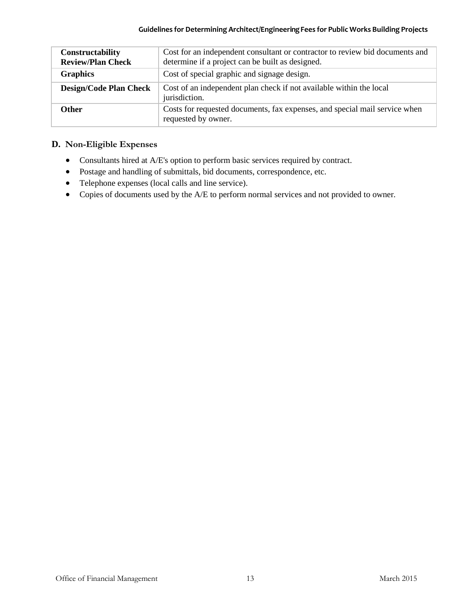| Constructability<br><b>Review/Plan Check</b> | Cost for an independent consultant or contractor to review bid documents and<br>determine if a project can be built as designed. |
|----------------------------------------------|----------------------------------------------------------------------------------------------------------------------------------|
| <b>Graphics</b>                              | Cost of special graphic and signage design.                                                                                      |
| <b>Design/Code Plan Check</b>                | Cost of an independent plan check if not available within the local<br>jurisdiction.                                             |
| <b>Other</b>                                 | Costs for requested documents, fax expenses, and special mail service when<br>requested by owner.                                |

### **D. Non-Eligible Expenses**

- Consultants hired at A/E's option to perform basic services required by contract.
- Postage and handling of submittals, bid documents, correspondence, etc.
- Telephone expenses (local calls and line service).
- Copies of documents used by the A/E to perform normal services and not provided to owner.